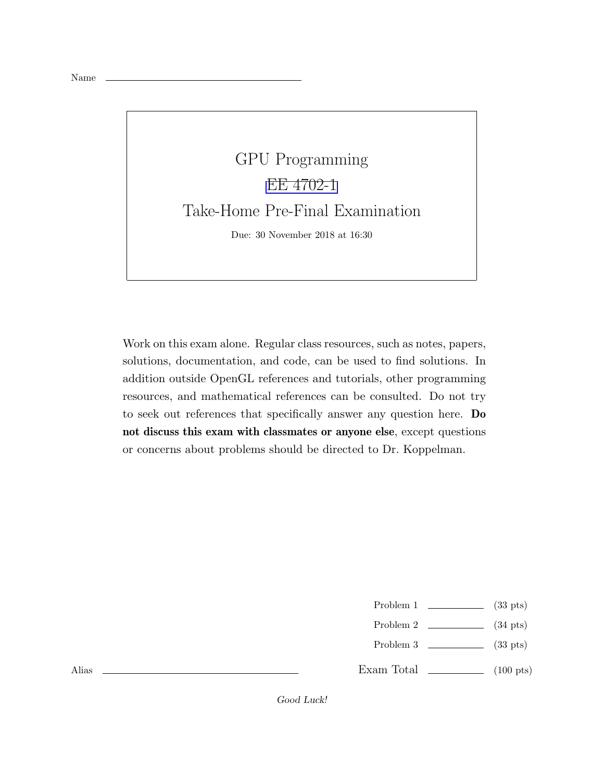



Work on this exam alone. Regular class resources, such as notes, papers, solutions, documentation, and code, can be used to find solutions. In addition outside OpenGL references and tutorials, other programming resources, and mathematical references can be consulted. Do not try to seek out references that specifically answer any question here. Do not discuss this exam with classmates or anyone else, except questions or concerns about problems should be directed to Dr. Koppelman.

- Problem 1  $\qquad \qquad$  (33 pts)
- Problem 2  $\qquad \qquad$  (34 pts)
- Problem 3  $\qquad \qquad$  (33 pts)
- Exam Total  $\qquad \qquad$  (100 pts)

Alias

Good Luck!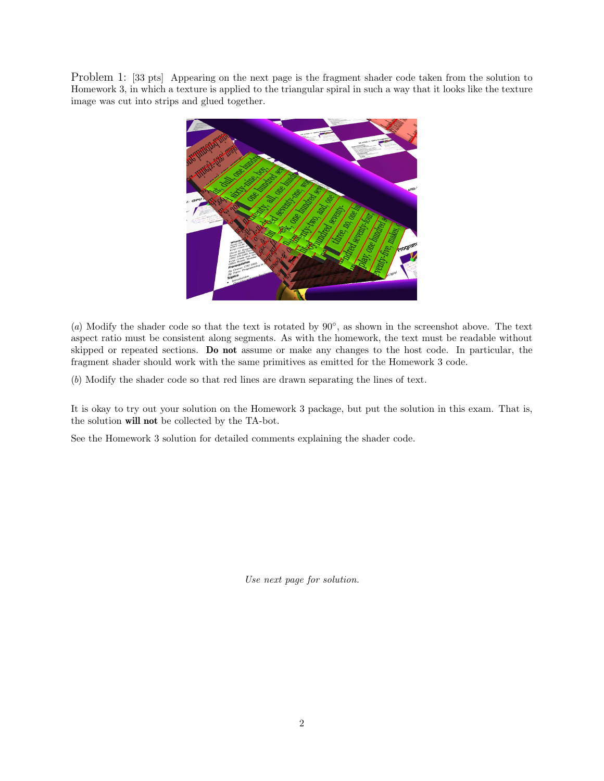Problem 1: [33 pts] Appearing on the next page is the fragment shader code taken from the solution to Homework 3, in which a texture is applied to the triangular spiral in such a way that it looks like the texture image was cut into strips and glued together.



(*a*) Modify the shader code so that the text is rotated by 90◦ , as shown in the screenshot above. The text aspect ratio must be consistent along segments. As with the homework, the text must be readable without skipped or repeated sections. Do not assume or make any changes to the host code. In particular, the fragment shader should work with the same primitives as emitted for the Homework 3 code.

(*b*) Modify the shader code so that red lines are drawn separating the lines of text.

It is okay to try out your solution on the Homework 3 package, but put the solution in this exam. That is, the solution will not be collected by the TA-bot.

See the Homework 3 solution for detailed comments explaining the shader code.

*Use next page for solution.*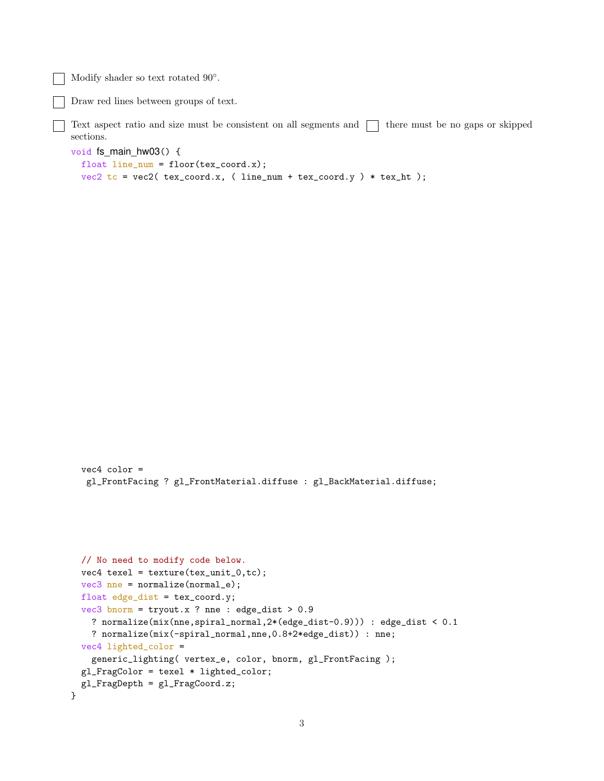Modify shader so text rotated 90°.

vec4 color =

Draw red lines between groups of text.

Text aspect ratio and size must be consistent on all segments and  $\Box$  there must be no gaps or skipped sections.

```
void fs_main_hw03() {
 float line\_num = floor(text\_coord.x);vec2 tc = vec2 ( text_{exc} tex_coord.x, ( line_num + tex_coord.y ) * tex_ht );
```

```
gl_FrontFacing ? gl_FrontMaterial.diffuse : gl_BackMaterial.diffuse;
// No need to modify code below.
vec4 texel = texture(tex_unit_0,tc);
vec3 nne = normalize(normal_e);
```

```
float edge_dist = tex_coord.y;
 vec3 bnorm = tryout.x ? nne : edge_dist > 0.9
   ? normalize(mix(nne,spiral_normal,2*(edge_dist-0.9))) : edge_dist < 0.1
   ? normalize(mix(-spiral_normal,nne,0.8+2*edge_dist)) : nne;
 vec4 lighted_color =
   generic_lighting( vertex_e, color, bnorm, gl_FrontFacing );
 gl_FragColor = texel * lighted_color;
 gl_FragDepth = gl_FragCoord.z;
}
```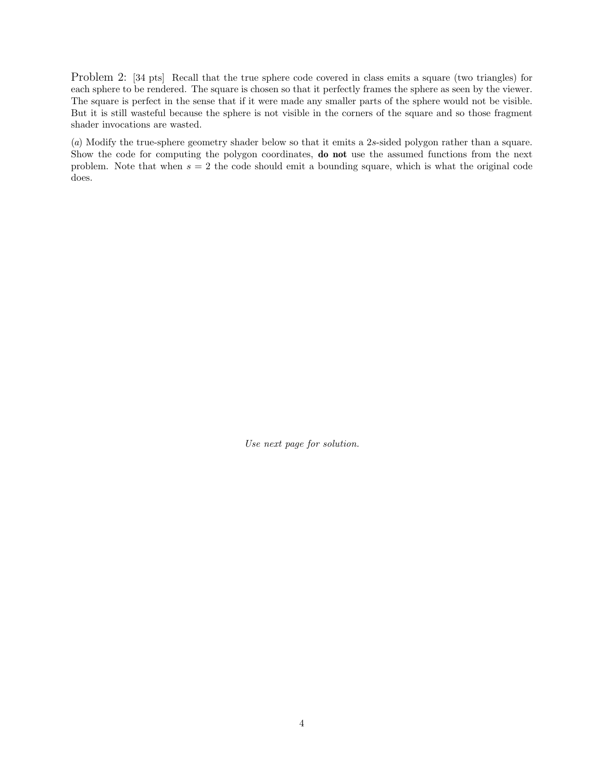Problem 2: [34 pts] Recall that the true sphere code covered in class emits a square (two triangles) for each sphere to be rendered. The square is chosen so that it perfectly frames the sphere as seen by the viewer. The square is perfect in the sense that if it were made any smaller parts of the sphere would not be visible. But it is still wasteful because the sphere is not visible in the corners of the square and so those fragment shader invocations are wasted.

(*a*) Modify the true-sphere geometry shader below so that it emits a 2s-sided polygon rather than a square. Show the code for computing the polygon coordinates, do not use the assumed functions from the next problem. Note that when  $s = 2$  the code should emit a bounding square, which is what the original code does.

*Use next page for solution.*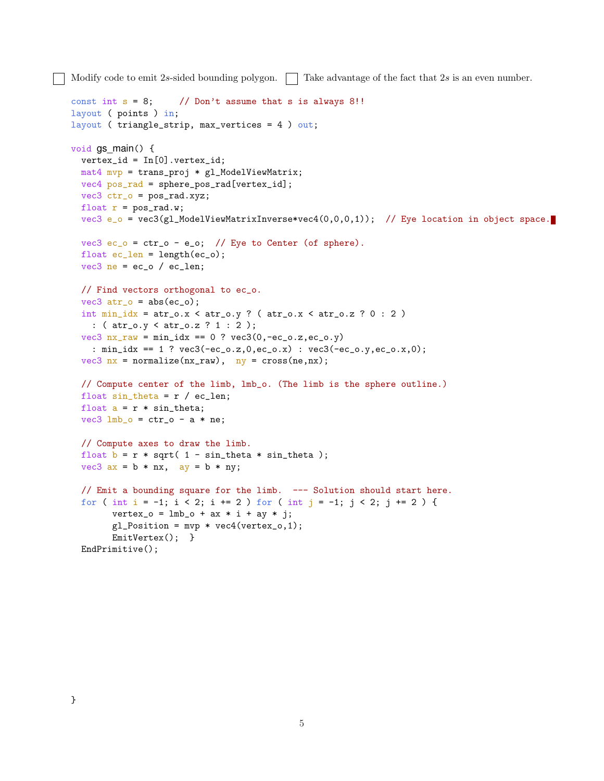Modify code to emit 2s-sided bounding polygon.  $\Box$  Take advantage of the fact that 2s is an even number.

```
const int s = 8; // Don't assume that s is always 8!!
layout ( points ) in;
layout ( triangle_strip, max_vertices = 4 ) out;
void gs main() \{vertex_id = In[0].vertex_id;
 mat4 mvp = trans_proj * gl_ModelViewMatrix;
 vec4 pos_rad = sphere_pos_rad[vertex_id];
 vec3 ctr_o = pos_rad.xyz;
 float r = pos\_rad.w;vec3 e_o = vec3(gl_ModelViewMatrixInverse*vec4(0,0,0,1)); // Eye location in object space.
 vec3 ec_o = ctr_0 - e_o; // Eye to Center (of sphere).
 float ec_length = length(ec_0);vec3 ne = ec_o / ec_len;
 // Find vectors orthogonal to ec_o.
  vec3 atr_0 = abs(ec_0);int min\_idx = atr_0.x < atr_0.y ? (atr_0.x < atr_0.z ? 0 : 2)
   : ( atr_o.y < atr_o.z ? 1 : 2 );
  vec3 nx_{raw} = min\_idx == 0 ? vec3(0, -ec_0.z, ec_0.y): min_idx == 1 ? vec3(-ec_o.z,0,ec_o.x) : vec3(-ec_o.y,ec_o.x,0);
  vec3 nx = normalize(nx_raw), ny = cross(ne,nx);
  // Compute center of the limb, lmb_o. (The limb is the sphere outline.)
  float sin\_theta = r / ec\_len;float a = r * sin\_theta;
 vec3 lmb_o = ctr_0 - a * ne;
  // Compute axes to draw the limb.
 float b = r * sqrt( 1 - sin\_theta * sin\_theta);
  vec3 ax = b * nx, ay = b * ny;
 // Emit a bounding square for the limb. --- Solution should start here.
  for ( int i = -1; i < 2; i += 2 ) for ( int j = -1; j < 2; j += 2 ) {
       vertex_0 = lmb_0 + ax * i + ay * j;gl_Position = mvp * vec4(vertex_0, 1);EmitVertex(); }
 EndPrimitive();
```
}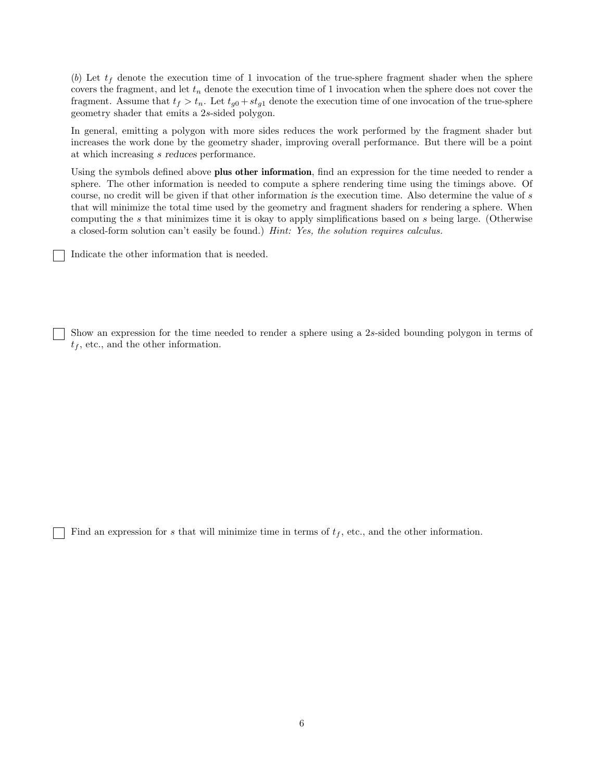(b) Let  $t_f$  denote the execution time of 1 invocation of the true-sphere fragment shader when the sphere covers the fragment, and let  $t_n$  denote the execution time of 1 invocation when the sphere does not cover the fragment. Assume that  $t_f > t_n$ . Let  $t_{g0} + st_{g1}$  denote the execution time of one invocation of the true-sphere geometry shader that emits a 2s-sided polygon.

In general, emitting a polygon with more sides reduces the work performed by the fragment shader but increases the work done by the geometry shader, improving overall performance. But there will be a point at which increasing s reduces performance.

Using the symbols defined above plus other information, find an expression for the time needed to render a sphere. The other information is needed to compute a sphere rendering time using the timings above. Of course, no credit will be given if that other information is the execution time. Also determine the value of s that will minimize the total time used by the geometry and fragment shaders for rendering a sphere. When computing the s that minimizes time it is okay to apply simplifications based on s being large. (Otherwise a closed-form solution can't easily be found.) *Hint: Yes, the solution requires calculus.*

Indicate the other information that is needed.

Show an expression for the time needed to render a sphere using a 2s-sided bounding polygon in terms of  $t_f$ , etc., and the other information.

Find an expression for s that will minimize time in terms of  $t_f$ , etc., and the other information.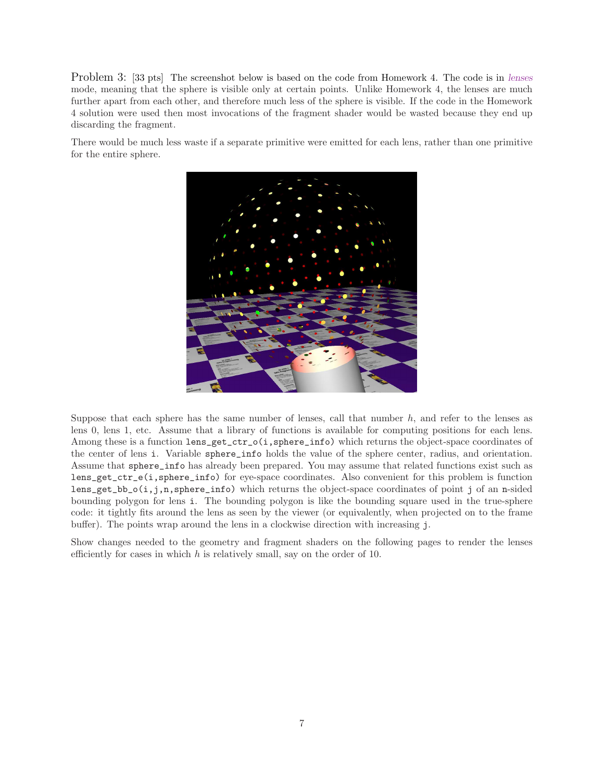Problem 3: [33 pts] The screenshot below is based on the code from Homework 4. The code is in lenses mode, meaning that the sphere is visible only at certain points. Unlike Homework 4, the lenses are much further apart from each other, and therefore much less of the sphere is visible. If the code in the Homework 4 solution were used then most invocations of the fragment shader would be wasted because they end up discarding the fragment.

There would be much less waste if a separate primitive were emitted for each lens, rather than one primitive for the entire sphere.



Suppose that each sphere has the same number of lenses, call that number  $h$ , and refer to the lenses as lens 0, lens 1, etc. Assume that a library of functions is available for computing positions for each lens. Among these is a function lens\_get\_ctr\_o(i,sphere\_info) which returns the object-space coordinates of the center of lens i. Variable sphere\_info holds the value of the sphere center, radius, and orientation. Assume that sphere\_info has already been prepared. You may assume that related functions exist such as lens\_get\_ctr\_e(i,sphere\_info) for eye-space coordinates. Also convenient for this problem is function lens\_get\_bb\_o(i,j,n,sphere\_info) which returns the object-space coordinates of point j of an n-sided bounding polygon for lens i. The bounding polygon is like the bounding square used in the true-sphere code: it tightly fits around the lens as seen by the viewer (or equivalently, when projected on to the frame buffer). The points wrap around the lens in a clockwise direction with increasing j.

Show changes needed to the geometry and fragment shaders on the following pages to render the lenses efficiently for cases in which  $h$  is relatively small, say on the order of 10.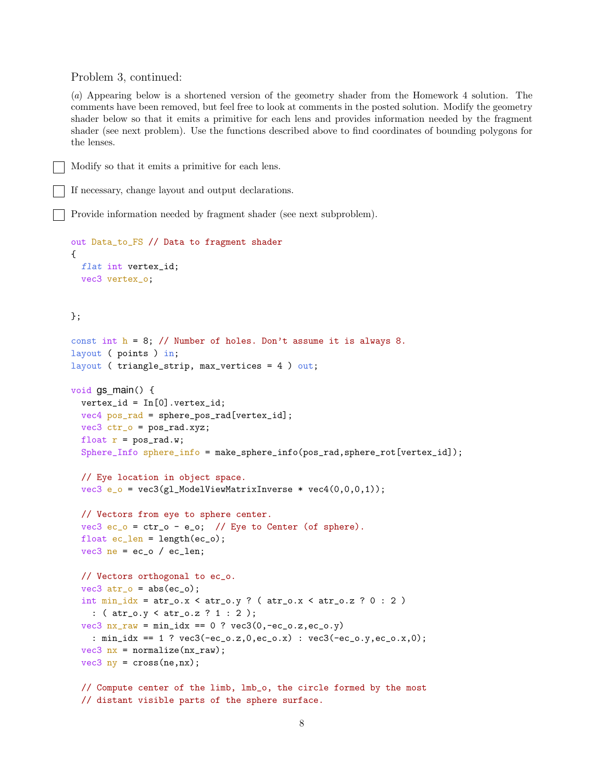Problem 3, continued:

(*a*) Appearing below is a shortened version of the geometry shader from the Homework 4 solution. The comments have been removed, but feel free to look at comments in the posted solution. Modify the geometry shader below so that it emits a primitive for each lens and provides information needed by the fragment shader (see next problem). Use the functions described above to find coordinates of bounding polygons for the lenses.

Modify so that it emits a primitive for each lens.

If necessary, change layout and output declarations.

Provide information needed by fragment shader (see next subproblem).

```
out Data_to_FS // Data to fragment shader
{
 flat int vertex_id;
 vec3 vertex_o;
```
## };

```
const int h = 8; // Number of holes. Don't assume it is always 8.
layout ( points ) in;
layout ( triangle_strip, max_vertices = 4 ) out;
```

```
void gs_main() {
  vertex_id = In[0].vertex_id;
```

```
vec4 pos_rad = sphere_pos_rad[vertex_id];
vec3 ctr_o = pos_rad.xyz;
float r = pos\_rad.w;
```

```
Sphere_Info sphere_info = make_sphere_info(pos_rad,sphere_rot[vertex_id]);
```

```
// Eye location in object space.
vec3 e_0 = vec3(gl_Mode1ViewMatrixInverse * vec4(0,0,0,1));
```

```
// Vectors from eye to sphere center.
vec3 ec_o = ctr_0 - e_o; // Eye to Center (of sphere).
float ec_length = length(ec_0);vec3 ne = ec_o / ec_len;
```

```
// Vectors orthogonal to ec_o.
vec3 atr_o = abs(ec_o);
int min\_idx = atr_0.x < atr_0.y ? (atr_0.x < atr_0.z ? 0 : 2)
  : ( atr_o.y < atr_o.z ? 1 : 2 );
vec3 nx_{raw} = min\_idx == 0 ? vec3(0, -ec_0.z, ec_0.y): min_idx == 1 ? vec3(-ec_o.z,0,ec_o.x) : vec3(-ec_o.y,ec_o.x,0);
vec3 nx = normalize(nx<sub>raw</sub>);
vec3 ny = cross(ne,nx);
```

```
// Compute center of the limb, lmb_o, the circle formed by the most
// distant visible parts of the sphere surface.
```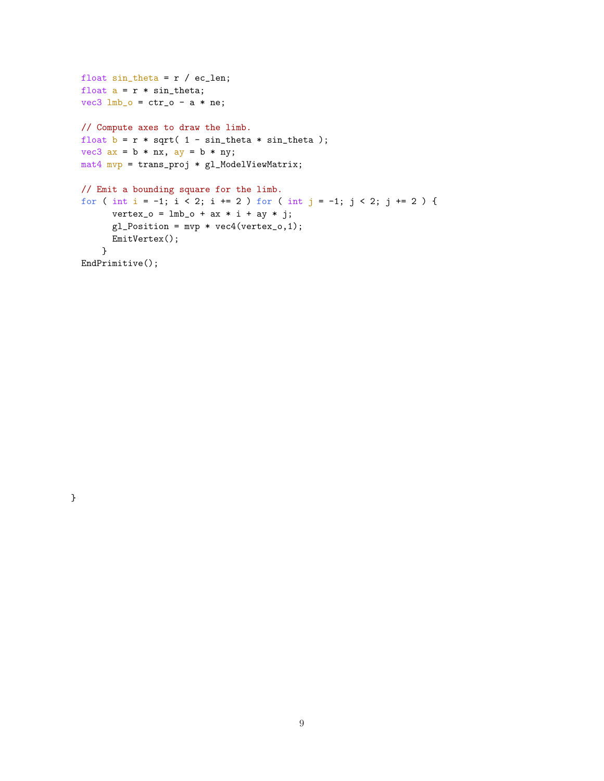```
float sin\_theta = r / ec\_len;float a = r * sin_{theta};
vec3 lmb_o = ctr_0 - a * ne;
// Compute axes to draw the limb.
float b = r * sqrt( 1 - sin\_theta * sin\_theta);
vec3 ax = b * nx, ay = b * ny;
mat4 mvp = trans_proj * gl_ModelViewMatrix;
// Emit a bounding square for the limb.
for ( int i = -1; i < 2; i += 2 ) for ( int j = -1; j < 2; j += 2 ) {
      vertex_0 = lmb_0 + ax * i + ay * j;gl_Position = mvp * vec4(vertex_0, 1);EmitVertex();
    }
EndPrimitive();
```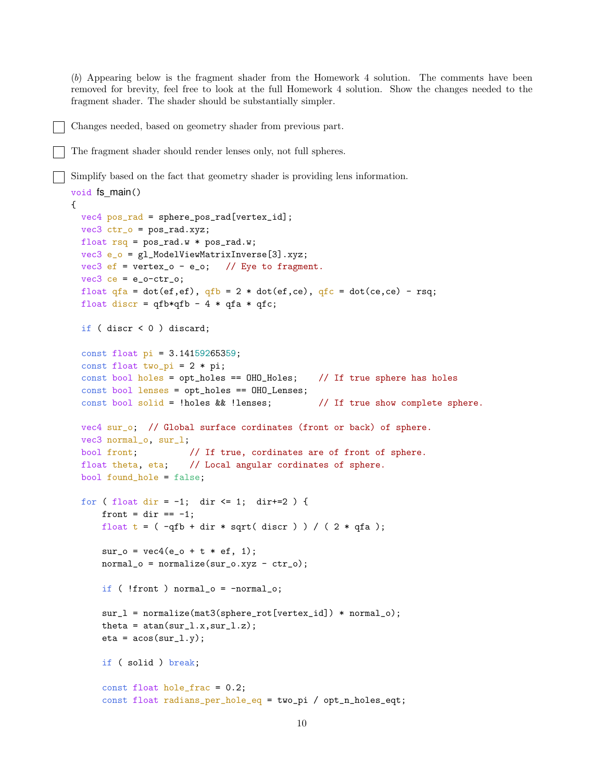(*b*) Appearing below is the fragment shader from the Homework 4 solution. The comments have been removed for brevity, feel free to look at the full Homework 4 solution. Show the changes needed to the fragment shader. The shader should be substantially simpler.

## Changes needed, based on geometry shader from previous part.

```
The fragment shader should render lenses only, not full spheres.
```
Simplify based on the fact that geometry shader is providing lens information.

```
void fs main()
{
 vec4 pos_rad = sphere_pos_rad[vertex_id];
 vec3 ctr_0 = pos\_rad.xyz;
 float rsq = pos\_rad.w * pos\_rad.w;vec3 e_o = gl_ModelViewMatrixInverse[3].xyz;
 vec3 ef = vertex_o - e_o; // Eye to fragment.
 vec3 ce = e_0-ctr_o;
 float qfa = dot(ef,ef), qfb = 2 * dot(ef,ce), qfc = dot(ce,ce) - rg;float discr = qfb*qfb - 4 * qfa * qfc;if ( discr < 0 ) discard;
 const float pi = 3.14159265359;
 const float two_pi = 2 * pi;
 const bool holes = opt_holes == OHO_Holes; // If true sphere has holes
 const bool lenses = opt_holes == OHO_Lenses;
 const bool solid = !holes && !lenses; // If true show complete sphere.
 vec4 sur_o; // Global surface cordinates (front or back) of sphere.
 vec3 normal_o, sur_l;
 bool front; // If true, cordinates are of front of sphere.
 float theta, eta; // Local angular cordinates of sphere.
 bool found_hole = false;
 for ( float dir = -1; dir <= 1; dir +=2 ) {
     front = dir == -1;
     float t = (-qfb + dir * sqrt(discr)) / (2 * qfa);sur_0 = vec4(e_0 + t * ef, 1);normal_0 = normalize(sur_0.xyz - ctr_0);if ( !front ) normal_o = -normal_o;
     sur_l = normalize(mat3(sphere_rot[vertex_id]) * normal_o);
     theta = atan(sur_l.x,sur_l.z);
     eta = a \cos(sur_1.y);if ( solid ) break;
     const float hole_frac = 0.2;
     const float radians_per_hole_eq = two_pi / opt_n_holes_eqt;
```